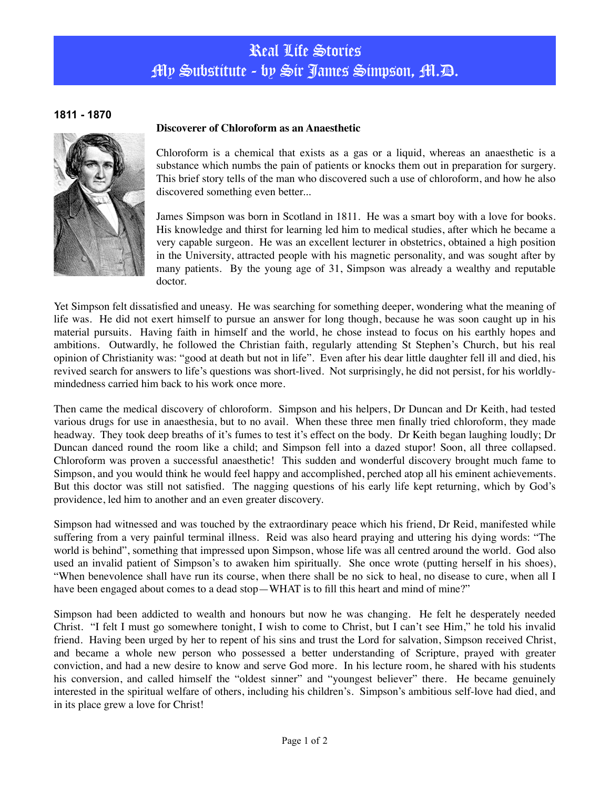## Real Life Stories My Substitute - by Sir James Simpson, M.D.

## **1811 - 1870**



## **Discoverer of Chloroform as an Anaesthetic**

Chloroform is a chemical that exists as a gas or a liquid, whereas an anaesthetic is a substance which numbs the pain of patients or knocks them out in preparation for surgery. This brief story tells of the man who discovered such a use of chloroform, and how he also discovered something even better...

James Simpson was born in Scotland in 1811. He was a smart boy with a love for books. His knowledge and thirst for learning led him to medical studies, after which he became a very capable surgeon. He was an excellent lecturer in obstetrics, obtained a high position in the University, attracted people with his magnetic personality, and was sought after by many patients. By the young age of 31, Simpson was already a wealthy and reputable doctor.

Yet Simpson felt dissatisfied and uneasy. He was searching for something deeper, wondering what the meaning of life was. He did not exert himself to pursue an answer for long though, because he was soon caught up in his material pursuits. Having faith in himself and the world, he chose instead to focus on his earthly hopes and ambitions. Outwardly, he followed the Christian faith, regularly attending St Stephen's Church, but his real opinion of Christianity was: "good at death but not in life". Even after his dear little daughter fell ill and died, his revived search for answers to life's questions was short-lived. Not surprisingly, he did not persist, for his worldlymindedness carried him back to his work once more.

Then came the medical discovery of chloroform. Simpson and his helpers, Dr Duncan and Dr Keith, had tested various drugs for use in anaesthesia, but to no avail. When these three men finally tried chloroform, they made headway. They took deep breaths of it's fumes to test it's effect on the body. Dr Keith began laughing loudly; Dr Duncan danced round the room like a child; and Simpson fell into a dazed stupor! Soon, all three collapsed. Chloroform was proven a successful anaesthetic! This sudden and wonderful discovery brought much fame to Simpson, and you would think he would feel happy and accomplished, perched atop all his eminent achievements. But this doctor was still not satisfied. The nagging questions of his early life kept returning, which by God's providence, led him to another and an even greater discovery.

Simpson had witnessed and was touched by the extraordinary peace which his friend, Dr Reid, manifested while suffering from a very painful terminal illness. Reid was also heard praying and uttering his dying words: "The world is behind", something that impressed upon Simpson, whose life was all centred around the world. God also used an invalid patient of Simpson's to awaken him spiritually. She once wrote (putting herself in his shoes), "When benevolence shall have run its course, when there shall be no sick to heal, no disease to cure, when all I have been engaged about comes to a dead stop—WHAT is to fill this heart and mind of mine?"

Simpson had been addicted to wealth and honours but now he was changing. He felt he desperately needed Christ. "I felt I must go somewhere tonight, I wish to come to Christ, but I can't see Him," he told his invalid friend. Having been urged by her to repent of his sins and trust the Lord for salvation, Simpson received Christ, and became a whole new person who possessed a better understanding of Scripture, prayed with greater conviction, and had a new desire to know and serve God more. In his lecture room, he shared with his students his conversion, and called himself the "oldest sinner" and "youngest believer" there. He became genuinely interested in the spiritual welfare of others, including his children's. Simpson's ambitious self-love had died, and in its place grew a love for Christ!